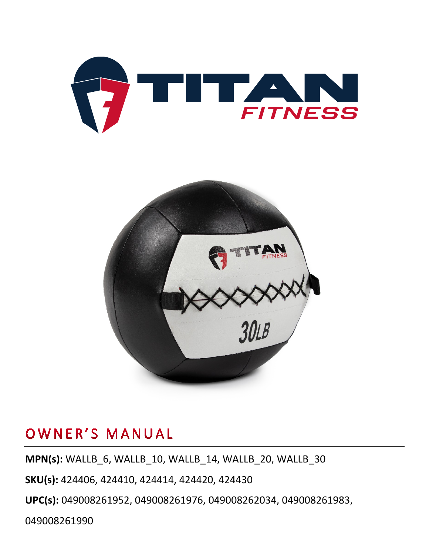



### OWNER'S MANUAL

**MPN(s):** WALLB\_6, WALLB\_10, WALLB\_14, WALLB\_20, WALLB\_30

**SKU(s):** 424406, 424410, 424414, 424420, 424430

**UPC(s):** 049008261952, 049008261976, 049008262034, 049008261983,

049008261990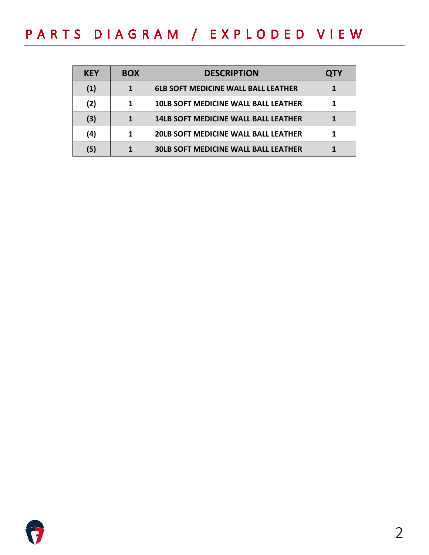## PARTS DIAGRAM / EXPLODED VIEW

| <b>KEY</b>        | <b>BOX</b> | <b>DESCRIPTION</b>                          | <b>QTY</b> |
|-------------------|------------|---------------------------------------------|------------|
| $\left( 1\right)$ |            | <b>6LB SOFT MEDICINE WALL BALL LEATHER</b>  |            |
| (2)               |            | <b>10LB SOFT MEDICINE WALL BALL LEATHER</b> |            |
| (3)               |            | <b>14LB SOFT MEDICINE WALL BALL LEATHER</b> |            |
| (4)               | 1          | <b>20LB SOFT MEDICINE WALL BALL LEATHER</b> |            |
| (5)               |            | <b>30LB SOFT MEDICINE WALL BALL LEATHER</b> |            |